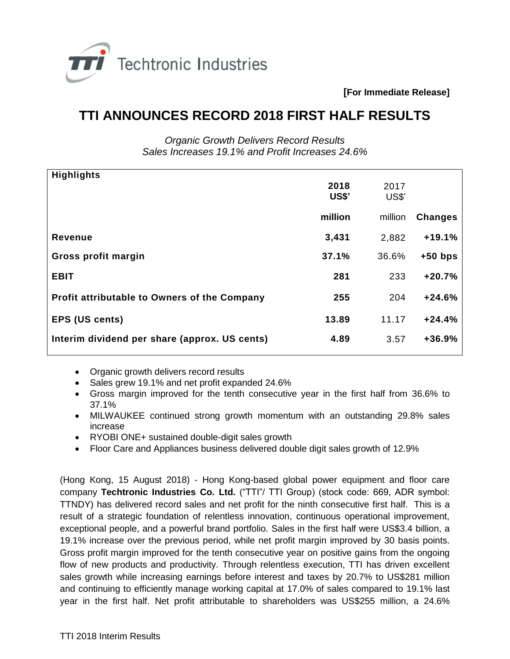

**[For Immediate Release]**

## **TTI ANNOUNCES RECORD 2018 FIRST HALF RESULTS**

*Organic Growth Delivers Record Results Sales Increases 19.1% and Profit Increases 24.6%*

| <b>Highlights</b>                                   | 2018<br><b>US\$'</b> | 2017<br>US\$' |                |
|-----------------------------------------------------|----------------------|---------------|----------------|
|                                                     | million              | million       | <b>Changes</b> |
| <b>Revenue</b>                                      | 3,431                | 2,882         | $+19.1%$       |
| Gross profit margin                                 | 37.1%                | 36.6%         | $+50$ bps      |
| <b>EBIT</b>                                         | 281                  | 233           | $+20.7%$       |
| <b>Profit attributable to Owners of the Company</b> | 255                  | 204           | $+24.6%$       |
| <b>EPS (US cents)</b>                               | 13.89                | 11.17         | $+24.4%$       |
| Interim dividend per share (approx. US cents)       | 4.89                 | 3.57          | $+36.9%$       |
|                                                     |                      |               |                |

- Organic growth delivers record results
- Sales grew 19.1% and net profit expanded 24.6%
- Gross margin improved for the tenth consecutive year in the first half from 36.6% to 37.1%
- MILWAUKEE continued strong growth momentum with an outstanding 29.8% sales increase
- RYOBI ONE+ sustained double-digit sales growth
- Floor Care and Appliances business delivered double digit sales growth of 12.9%

(Hong Kong, 15 August 2018) - Hong Kong-based global power equipment and floor care company **Techtronic Industries Co. Ltd.** ("TTI"/ TTI Group) (stock code: 669, ADR symbol: TTNDY) has delivered record sales and net profit for the ninth consecutive first half. This is a result of a strategic foundation of relentless innovation, continuous operational improvement, exceptional people, and a powerful brand portfolio. Sales in the first half were US\$3.4 billion, a 19.1% increase over the previous period, while net profit margin improved by 30 basis points. Gross profit margin improved for the tenth consecutive year on positive gains from the ongoing flow of new products and productivity. Through relentless execution, TTI has driven excellent sales growth while increasing earnings before interest and taxes by 20.7% to US\$281 million and continuing to efficiently manage working capital at 17.0% of sales compared to 19.1% last year in the first half. Net profit attributable to shareholders was US\$255 million, a 24.6%